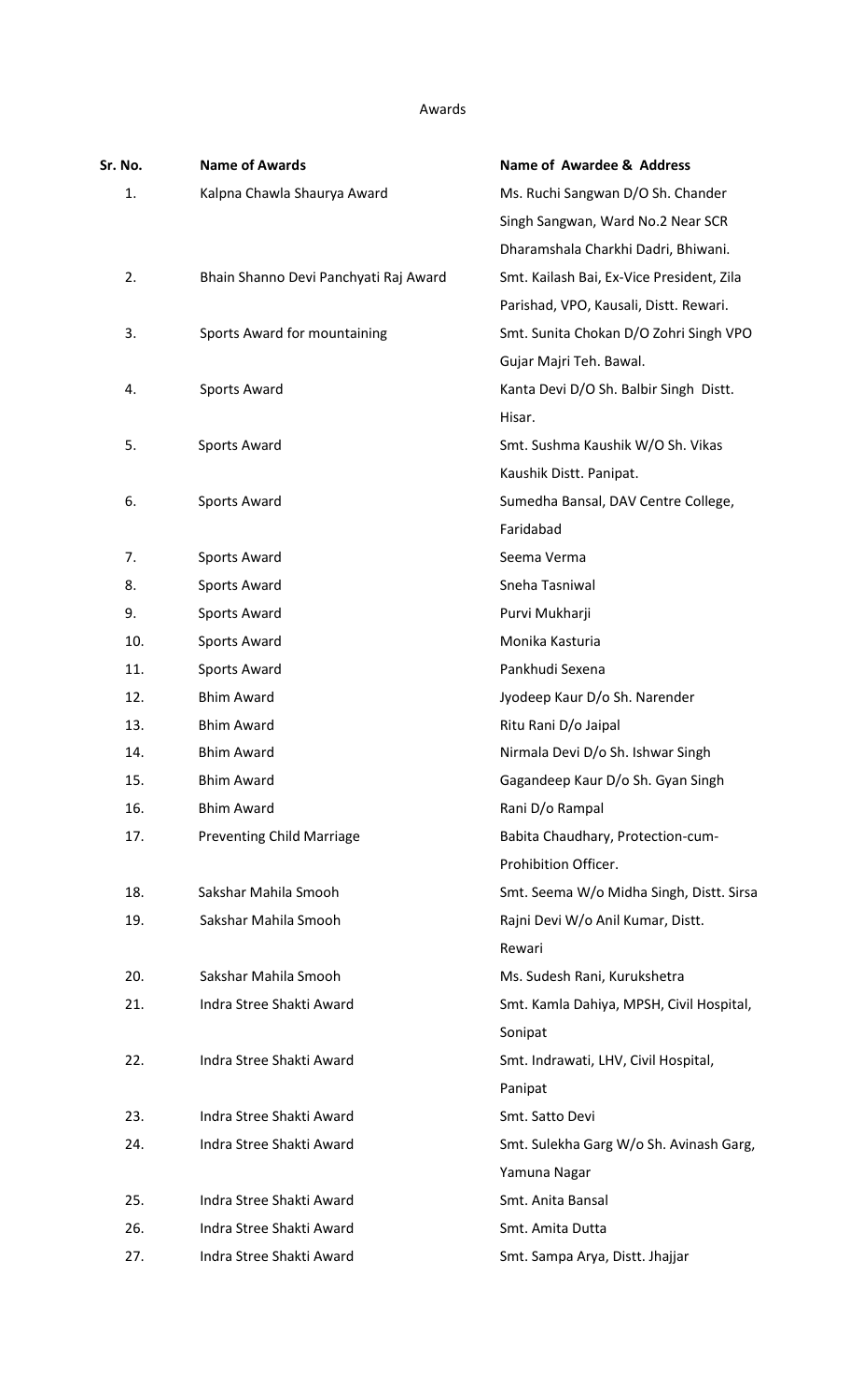Awards

| Sr. No. | <b>Name of Awards</b>                 | <b>Name of Awardee &amp; Address</b>      |
|---------|---------------------------------------|-------------------------------------------|
| 1.      | Kalpna Chawla Shaurya Award           | Ms. Ruchi Sangwan D/O Sh. Chander         |
|         |                                       | Singh Sangwan, Ward No.2 Near SCR         |
|         |                                       | Dharamshala Charkhi Dadri, Bhiwani.       |
| 2.      | Bhain Shanno Devi Panchyati Raj Award | Smt. Kailash Bai, Ex-Vice President, Zila |
|         |                                       | Parishad, VPO, Kausali, Distt. Rewari.    |
| 3.      | Sports Award for mountaining          | Smt. Sunita Chokan D/O Zohri Singh VPO    |
|         |                                       | Gujar Majri Teh. Bawal.                   |
| 4.      | Sports Award                          | Kanta Devi D/O Sh. Balbir Singh Distt.    |
|         |                                       | Hisar.                                    |
| 5.      | Sports Award                          | Smt. Sushma Kaushik W/O Sh. Vikas         |
|         |                                       | Kaushik Distt. Panipat.                   |
| 6.      | <b>Sports Award</b>                   | Sumedha Bansal, DAV Centre College,       |
|         |                                       | Faridabad                                 |
| 7.      | Sports Award                          | Seema Verma                               |
| 8.      | Sports Award                          | Sneha Tasniwal                            |
| 9.      | Sports Award                          | Purvi Mukharji                            |
| 10.     | <b>Sports Award</b>                   | Monika Kasturia                           |
| 11.     | Sports Award                          | Pankhudi Sexena                           |
| 12.     | <b>Bhim Award</b>                     | Jyodeep Kaur D/o Sh. Narender             |
| 13.     | <b>Bhim Award</b>                     | Ritu Rani D/o Jaipal                      |
| 14.     | <b>Bhim Award</b>                     | Nirmala Devi D/o Sh. Ishwar Singh         |
| 15.     | <b>Bhim Award</b>                     | Gagandeep Kaur D/o Sh. Gyan Singh         |
| 16.     | <b>Bhim Award</b>                     | Rani D/o Rampal                           |
| 17.     | <b>Preventing Child Marriage</b>      | Babita Chaudhary, Protection-cum-         |
|         |                                       | Prohibition Officer.                      |
| 18.     | Sakshar Mahila Smooh                  | Smt. Seema W/o Midha Singh, Distt. Sirsa  |
| 19.     | Sakshar Mahila Smooh                  | Rajni Devi W/o Anil Kumar, Distt.         |
|         |                                       | Rewari                                    |
| 20.     | Sakshar Mahila Smooh                  | Ms. Sudesh Rani, Kurukshetra              |
| 21.     | Indra Stree Shakti Award              | Smt. Kamla Dahiya, MPSH, Civil Hospital,  |
|         |                                       | Sonipat                                   |
| 22.     | Indra Stree Shakti Award              | Smt. Indrawati, LHV, Civil Hospital,      |
|         |                                       | Panipat                                   |
| 23.     | Indra Stree Shakti Award              | Smt. Satto Devi                           |
| 24.     | Indra Stree Shakti Award              | Smt. Sulekha Garg W/o Sh. Avinash Garg,   |
|         |                                       | Yamuna Nagar                              |
| 25.     | Indra Stree Shakti Award              | Smt. Anita Bansal                         |
| 26.     | Indra Stree Shakti Award              | Smt. Amita Dutta                          |
| 27.     | Indra Stree Shakti Award              | Smt. Sampa Arya, Distt. Jhajjar           |